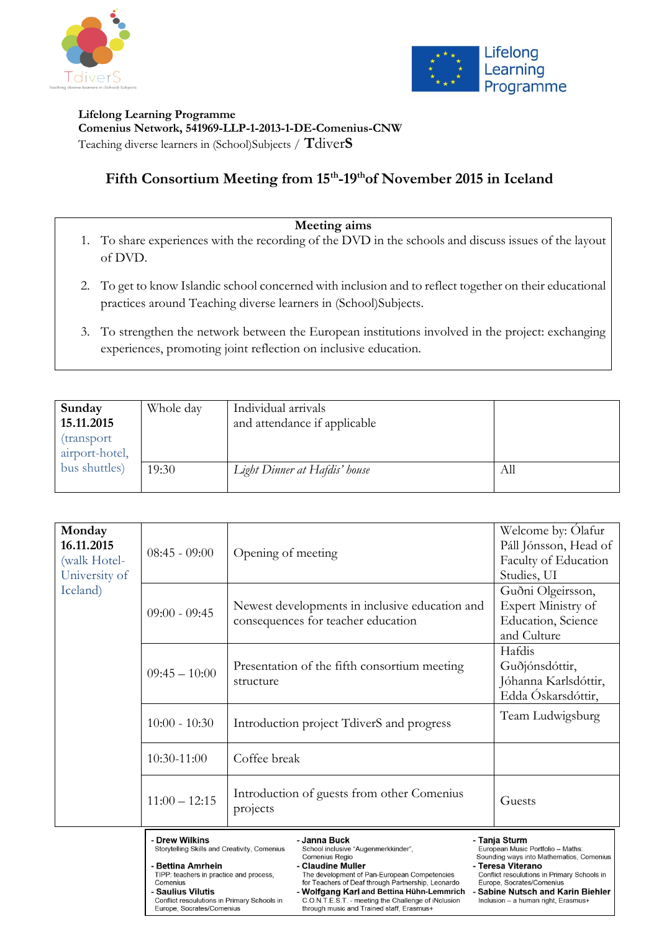



**Lifelong Learning Programme Comenius Network, 541969-LLP-1-2013-1-DE-Comenius-CNW** Teaching diverse learners in (School)Subjects / **T**diver**S**

# **Fifth Consortium Meeting from 15th -19thof November 2015 in Iceland**

### **Meeting aims**

- 1. To share experiences with the recording of the DVD in the schools and discuss issues of the layout of DVD.
- 2. To get to know Islandic school concerned with inclusion and to reflect together on their educational practices around Teaching diverse learners in (School)Subjects.
- 3. To strengthen the network between the European institutions involved in the project: exchanging experiences, promoting joint reflection on inclusive education.

| Sunday<br>15.11.2015<br>transport<br>airport-hotel, | Whole day | Individual arrivals<br>and attendance if applicable |     |
|-----------------------------------------------------|-----------|-----------------------------------------------------|-----|
| bus shuttles)                                       | 19:30     | Light Dinner at Hafdis' house                       | Аll |

| Monday<br>16.11.2015<br>(walk Hotel-<br>University of | $08:45 - 09:00$                                                                                                                                                                                                                            | Opening of meeting                                                                                                                                                                                                                                                                                                                                | Welcome by: Olafur<br>Páll Jónsson, Head of<br>Faculty of Education<br>Studies, UI                                                                                                                                                                                               |
|-------------------------------------------------------|--------------------------------------------------------------------------------------------------------------------------------------------------------------------------------------------------------------------------------------------|---------------------------------------------------------------------------------------------------------------------------------------------------------------------------------------------------------------------------------------------------------------------------------------------------------------------------------------------------|----------------------------------------------------------------------------------------------------------------------------------------------------------------------------------------------------------------------------------------------------------------------------------|
| Iceland)                                              | $09:00 - 09:45$                                                                                                                                                                                                                            | Newest developments in inclusive education and<br>consequences for teacher education                                                                                                                                                                                                                                                              | Guðni Olgeirsson,<br>Expert Ministry of<br>Education, Science<br>and Culture                                                                                                                                                                                                     |
|                                                       | $09:45 - 10:00$                                                                                                                                                                                                                            | Presentation of the fifth consortium meeting<br>structure                                                                                                                                                                                                                                                                                         | Hafdis<br>Guðjónsdóttir,<br>Jóhanna Karlsdóttir,<br>Edda Óskarsdóttir,                                                                                                                                                                                                           |
|                                                       | $10:00 - 10:30$                                                                                                                                                                                                                            | Introduction project TdiverS and progress                                                                                                                                                                                                                                                                                                         | Team Ludwigsburg                                                                                                                                                                                                                                                                 |
|                                                       | 10:30-11:00                                                                                                                                                                                                                                | Coffee break                                                                                                                                                                                                                                                                                                                                      |                                                                                                                                                                                                                                                                                  |
|                                                       | $11:00 - 12:15$                                                                                                                                                                                                                            | Introduction of guests from other Comenius<br>projects                                                                                                                                                                                                                                                                                            | Guests                                                                                                                                                                                                                                                                           |
|                                                       | - Drew Wilkins<br>Storytelling Skills and Creativity, Comenius<br>- Bettina Amrhein<br>TIPP: teachers in practice and process,<br>Comenius<br>- Saulius Vilutis<br>Conflict resoulutions in Primary Schools in<br>Eurone Socrates/Comenius | - Janna Buck<br>School inclusive "Augenmerkkinder",<br>Comenius Regio<br>- Claudine Muller<br>The development of Pan-European Competencies<br>for Teachers of Deaf through Partnership, Leonardo<br>- Wolfgang Karl and Bettina Hühn-Lemmrich<br>C.O.N.T.E.S.T. - meeting the Challenge of iNclusion<br>through music and Trained staff. Frasmus+ | - Tanja Sturm<br>European Music Portfolio - Maths:<br>Sounding ways into Mathematics, Comenius<br>- Teresa Viterano<br>Conflict resoulutions in Primary Schools in<br>Europe, Socrates/Comenius<br><b>Sabine Nutsch and Karin Biehler</b><br>Inclusion - a human right, Erasmus+ |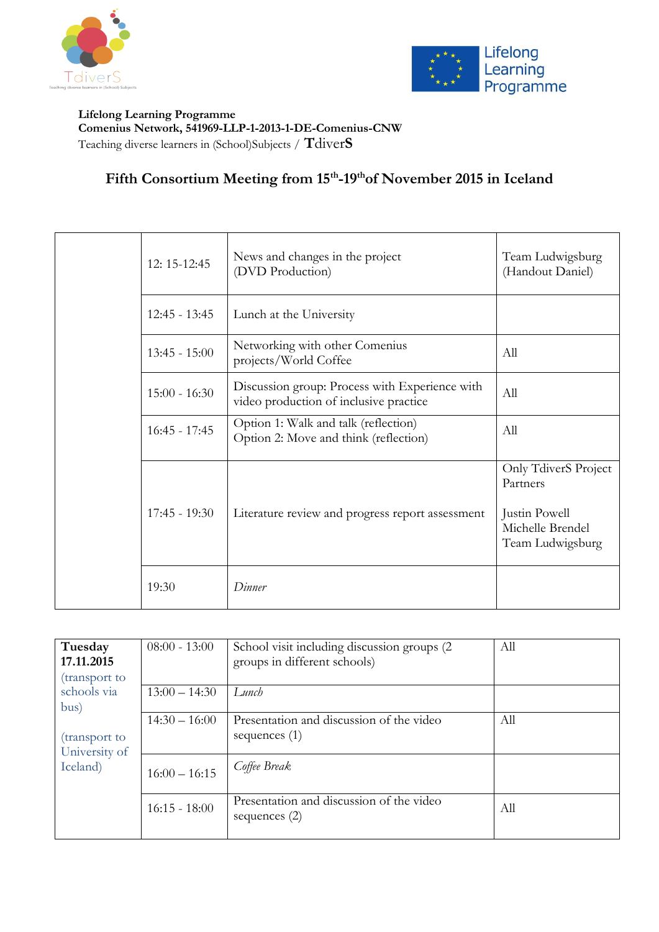



**Lifelong Learning Programme Comenius Network, 541969-LLP-1-2013-1-DE-Comenius-CNW** Teaching diverse learners in (School)Subjects / **T**diver**S**

### **Fifth Consortium Meeting from 15th -19thof November 2015 in Iceland**

|  | 12: 15-12:45 | News and changes in the project<br>(DVD Production) | Team Ludwigsburg<br>(Handout Daniel)                                                     |                                                                                           |
|--|--------------|-----------------------------------------------------|------------------------------------------------------------------------------------------|-------------------------------------------------------------------------------------------|
|  |              | $12:45 - 13:45$                                     | Lunch at the University                                                                  |                                                                                           |
|  |              | $13:45 - 15:00$                                     | Networking with other Comenius<br>projects/World Coffee                                  | All                                                                                       |
|  |              | $15:00 - 16:30$                                     | Discussion group: Process with Experience with<br>video production of inclusive practice | All                                                                                       |
|  |              | $16:45 - 17:45$                                     | Option 1: Walk and talk (reflection)<br>Option 2: Move and think (reflection)            | All                                                                                       |
|  |              | $17:45 - 19:30$                                     | Literature review and progress report assessment                                         | Only TdiverS Project<br>Partners<br>Justin Powell<br>Michelle Brendel<br>Team Ludwigsburg |
|  |              | 19:30                                               | Dinner                                                                                   |                                                                                           |

| Tuesday<br>17.11.2015<br>(transport to<br>schools via<br>bus)<br>(transport to<br>University of<br>Iceland) | $08:00 - 13:00$ | School visit including discussion groups (2)<br>groups in different schools) | All |
|-------------------------------------------------------------------------------------------------------------|-----------------|------------------------------------------------------------------------------|-----|
|                                                                                                             | $13:00 - 14:30$ | Lunch                                                                        |     |
|                                                                                                             | $14:30 - 16:00$ | Presentation and discussion of the video<br>sequences $(1)$                  | All |
|                                                                                                             | $16:00 - 16:15$ | Coffee Break                                                                 |     |
|                                                                                                             | $16:15 - 18:00$ | Presentation and discussion of the video<br>sequences $(2)$                  | All |